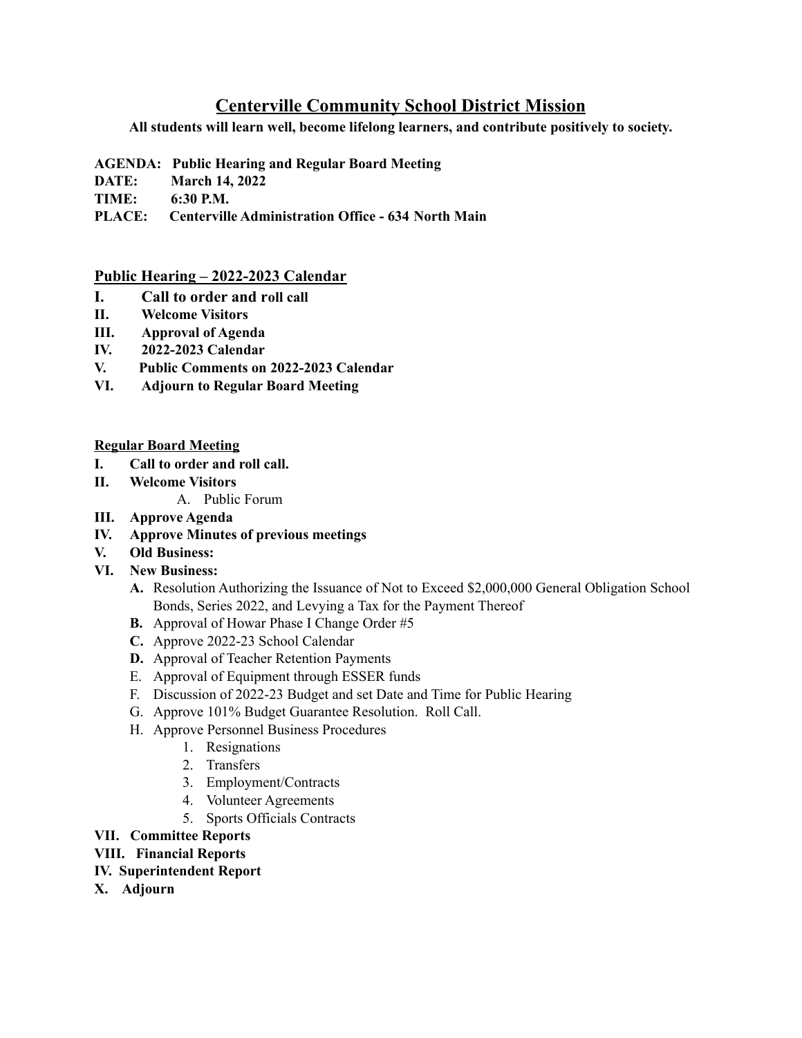## **Centerville Community School District Mission**

**All students will learn well, become lifelong learners, and contribute positively to society.**

- **AGENDA: Public Hearing and Regular Board Meeting**
- **DATE: March 14, 2022**
- **TIME: 6:30 P.M.**
- **PLACE: Centerville Administration Office - 634 North Main**

## **Public Hearing – 2022-2023 Calendar**

- **I. Call to order and roll call**
- **II. Welcome Visitors**
- **III. Approval of Agenda**
- **IV. 2022-2023 Calendar**
- **V. Public Comments on 2022-2023 Calendar**
- **VI. Adjourn to Regular Board Meeting**

## **Regular Board Meeting**

- **I. Call to order and roll call.**
- **II. Welcome Visitors**
	- A. Public Forum
- **III. Approve Agenda**
- **IV. Approve Minutes of previous meetings**
- **V. Old Business:**
- **VI. New Business:**
	- **A.** Resolution Authorizing the Issuance of Not to Exceed \$2,000,000 General Obligation School Bonds, Series 2022, and Levying a Tax for the Payment Thereof
	- **B.** Approval of Howar Phase I Change Order #5
	- **C.** Approve 2022-23 School Calendar
	- **D.** Approval of Teacher Retention Payments
	- E. Approval of Equipment through ESSER funds
	- F. Discussion of 2022-23 Budget and set Date and Time for Public Hearing
	- G. Approve 101% Budget Guarantee Resolution. Roll Call.
	- H. Approve Personnel Business Procedures
		- 1. Resignations
		- 2. Transfers
		- 3. Employment/Contracts
		- 4. Volunteer Agreements
		- 5. Sports Officials Contracts

## **VII. Committee Reports**

- **VIII. Financial Reports**
- **IV. Superintendent Report**
- **X. Adjourn**